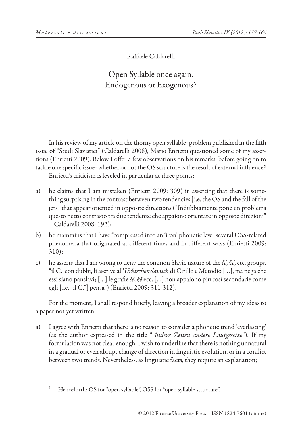Raffaele Caldarelli

## Open Syllable once again. Endogenous or Exogenous?

In his review of my article on the thorny open syllable<sup>1</sup> problem published in the fifth issue of "Studi Slavistici" (Caldarelli 2008), Mario Enrietti questioned some of my assertions (Enrietti 2009). Below I offer a few observations on his remarks, before going on to tackle one specific issue: whether or not the OS structure is the result of external influence? Enrietti's criticism is leveled in particular at three points:

- a) he claims that I am mistaken (Enrietti 2009: 309) in asserting that there is something surprising in the contrast between two tendencies [i.e. the OS and the fall of the jers] that appear oriented in opposite directions ("Indubbiamente pone un problema questo netto contrasto tra due tendenze che appaiono orientate in opposte direzioni" – Caldarelli 2008: 192);
- b) he maintains that I have "compressed into an 'iron' phonetic law" several OSS-related phenomena that originated at different times and in different ways (Enrietti 2009: 310);
- c) he asserts that I am wrong to deny the common Slavic nature of the *čě*, *žě*, etc. groups. "il C., con dubbi, li ascrive all'*Urkirchenslavisch* di Cirillo e Metodio […], ma nega che essi siano panslavi; […] le grafie *čě*, *žě* ecc. […] non appaiono più così secondarie come egli [i.e. "il C."] pensa") (Enrietti 2009: 311-312).

For the moment, I shall respond briefly, leaving a broader explanation of my ideas to a paper not yet written.

a) I agree with Enrietti that there is no reason to consider a phonetic trend 'everlasting' (as the author expressed in the title "*Andere Zeiten andere Lautgesetze*"). If my formulation was not clear enough, I wish to underline that there is nothing unnatural in a gradual or even abrupt change of direction in linguistic evolution, or in a conflict between two trends. Nevertheless, as linguistic facts, they require an explanation;

<sup>&</sup>lt;sup>1</sup> Henceforth: OS for "open syllable", OSS for "open syllable structure".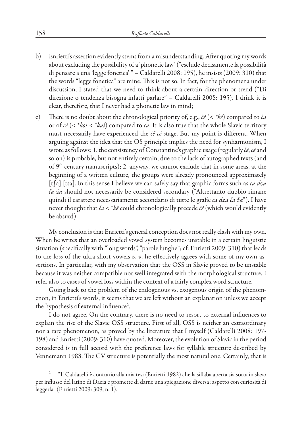- b) Enrietti's assertion evidently stems from a misunderstanding. After quoting my words about excluding the possibility of a 'phonetic law' ("esclude decisamente la possibilità di pensare a una 'legge fonetica' " – Caldarelli 2008: 195), he insists (2009: 310) that the words "legge fonetica" are mine. This is not so. In fact, for the phenomena under discussion, I stated that we need to think about a certain direction or trend ("Di direzione o tendenza bisogna infatti parlare" – Caldarelli 2008: 195). I think it is clear, therefore, that I never had a phonetic law in mind;
- c) There is no doubt about the chronological priority of, e.g., *čě* (< *\*kē*) compared to *ča*  or of *cě* (< \**koi* < \**kai*) compared to *ca*. It is also true that the whole Slavic territory must necessarily have experienced the *čě cě* stage. But my point is different. When arguing against the idea that the OS principle implies the need for synharmonism, I wrote as follows: 1. the consistency of Constantine's graphic usage (regularly *čě*, *cě* and so on) is probable, but not entirely certain, due to the lack of autographed texts (and of 9<sup>th</sup> century manuscripts); 2. anyway, we cannot exclude that in some areas, at the beginning of a written culture, the groups were already pronounced approximately [t∫a] [tsa]. In this sense I believe we can safely say that graphic forms such as *ca dza ča ža* should not necessarily be considered secondary ("Altrettanto dubbio rimane quindi il carattere necessariamente secondario di tutte le grafie *ca dza ča ža*"). I have never thought that *ča* < \**kē* could chronologically precede *čě* (which would evidently be absurd).

My conclusion is that Enrietti's general conception does not really clash with my own. When he writes that an overloaded vowel system becomes unstable in a certain linguistic situation (specifically with "long words", "parole lunghe"; cf. Enrietti 2009: 310) that leads to the loss of the ultra-short vowels *ь*, *ъ*, he effectively agrees with some of my own assertions. In particular, with my observation that the OSS in Slavic proved to be unstable because it was neither compatible nor well integrated with the morphological structure, I refer also to cases of vowel loss within the context of a fairly complex word structure.

Going back to the problem of the endogenous vs. exogenous origin of the phenomenon, in Enrietti's words, it seems that we are left without an explanation unless we accept the hypothesis of external influence<sup>2</sup>.

I do not agree. On the contrary, there is no need to resort to external influences to explain the rise of the Slavic OSS structure. First of all, OSS is neither an extraordinary nor a rare phenomenon, as proved by the literature that I myself (Caldarelli 2008: 197- 198) and Enrietti (2009: 310) have quoted. Moreover, the evolution of Slavic in the period considered is in full accord with the preference laws for syllable structure described by Vennemann 1988. The CV structure is potentially the most natural one. Certainly, that is

<sup>2</sup> "Il Caldarelli è contrario alla mia tesi (Enrietti 1982) che la sillaba aperta sia sorta in slavo per influsso del latino di Dacia e promette di darne una spiegazione diversa; aspetto con curiosità di leggerla" (Enrietti 2009: 309, n. 1).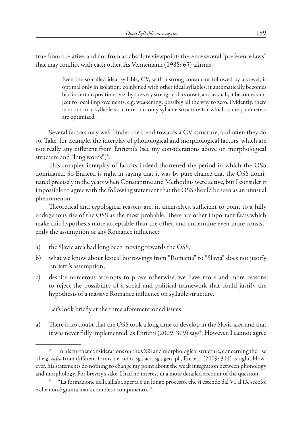true from a relative, and not from an absolute viewpoint: there are several "preference laws" that may conflict with each other. As Vennemann (1988: 65) affirms:

> Even the so-called ideal syllable, CV, with a strong consonant followed by a vowel, is optimal only in isolation; combined with other ideal syllables, it automatically becomes bad in certain positions, viz. by the very strength of its onset, and as such, it becomes subject to local improvements, e.g. weakening, possibly all the way to zero. Evidently, there is no optimal syllable structure, but only syllable structure for which some parameters are optimized.

Several factors may well hinder the trend towards a CV structure, and often they do so. Take, for example, the interplay of phonological and morphological factors, which are not really any different from Enrietti's (see my considerations above on morphological structure and "long words")3 .

This complex interplay of factors indeed shortened the period in which the OSS dominated. So Enrietti is right in saying that it was by pure chance that the OSS dominated precisely in the years when Constantine and Methodius were active, but I consider it impossible to agree with the following statement that the OSS should be seen as an unusual phenomenon.

Theoretical and typological reasons are, in themselves, sufficient to point to a fully endogenous rise of the OSS as the most probable. There are other important facts which make this hypothesis more acceptable than the other, and undermine even more consistently the assumption of any Romance influence:

- a) the Slavic area had long been moving towards the OSS;
- b) what we know about lexical borrowings from "Romania" to "Slavia" does not justify Enrietti's assumption;
- c) despite numerous attempts to prove otherwise, we have more and more reasons to reject the possibility of a social and political framework that could justify the hypothesis of a massive Romance influence on syllable structure.

Let's look briefly at the three aforementioned issues:

a) There is no doubt that the OSS took a long time to develop in the Slavic area and that it was never fully implemented, as Enrietti (2009: 309) says<sup>4</sup>. However, I cannot agree

In his further considerations on the OSS and morphological structure, concerning the rise of e.g. *rabъ* from different forms, i.e. nom. sg., acc. sg., gen. pl., Enrietti (2009: 311) is right. However, his statements do nothing to change my point about the weak integration between phonology and morphology. For brevity's sake, I had no interest in a more detailed account of the question.

<sup>4</sup> "La formazione della sillaba aperta è un lungo processo, che si estende dal VI al IX secolo, e che non è giunta mai a completo compimento...".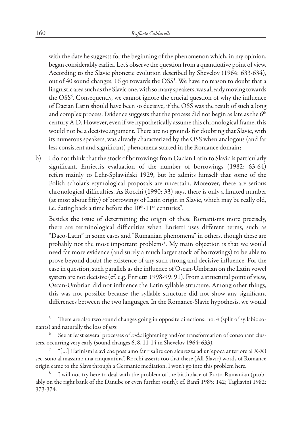with the date he suggests for the beginning of the phenomenon which, in my opinion, began considerably earlier. Let's observe the question from a quantitative point of view. According to the Slavic phonetic evolution described by Shevelov (1964: 633-634), out of 40 sound changes, 16 go towards the OSS<sup>5</sup>. We have no reason to doubt that a linguistic area such as the Slavic one, with so many speakers, was already moving towards the OSS<sup>6</sup>. Consequently, we cannot ignore the crucial question of why the influence of Dacian Latin should have been so decisive, if the OSS was the result of such a long and complex process. Evidence suggests that the process did not begin as late as the  $6<sup>th</sup>$ century A.D. However, even if we hypothetically assume this chronological frame, this would not be a decisive argument. There are no grounds for doubting that Slavic, with its numerous speakers, was already characterized by the OSS when analogous (and far less consistent and significant) phenomena started in the Romance domain;

b) I do not think that the stock of borrowings from Dacian Latin to Slavic is particularly significant. Enrietti's evaluation of the number of borrowings (1982: 63-64) refers mainly to Lehr-Spławiński 1929, but he admits himself that some of the Polish scholar's etymological proposals are uncertain. Moreover, there are serious chronological difficulties. As Rocchi (1990: 33) says, there is only a limited number (at most about fifty) of borrowings of Latin origin in Slavic, which may be really old, i.e. dating back a time before the  $10<sup>th</sup>$ -11<sup>th</sup> centuries<sup>7</sup>.

Besides the issue of determining the origin of these Romanisms more precisely, there are terminological difficulties when Enrietti uses different terms, such as "Daco-Latin" in some cases and "Rumanian phenomena" in others, though these are probably not the most important problems<sup>8</sup>. My main objection is that we would need far more evidence (and surely a much larger stock of borrowings) to be able to prove beyond doubt the existence of any such strong and decisive influence. For the case in question, such parallels as the influence of Oscan-Umbrian on the Latin vowel system are not decisive (cf. e.g. Enrietti 1998-99: 91). From a structural point of view, Oscan-Umbrian did not influence the Latin syllable structure. Among other things, this was not possible because the syllable structure did not show any significant differences between the two languages. In the Romance-Slavic hypothesis, we would

There are also two sound changes going in opposite directions: no. 4 (split of syllabic sonants) and naturally the loss of *jers*.

<sup>6</sup> See at least several processes of *coda* lightening and/or transformation of consonant clusters, occurring very early (sound changes 6, 8, 11-14 in Shevelov 1964: 633).

<sup>7</sup> "[…] i latinismi slavi che possiamo far risalire con sicurezza ad un'epoca anteriore al X-XI sec. sono al massimo una cinquantina". Rocchi asserts too that these (All-Slavic) words of Romance origin came to the Slavs through a Germanic mediation. I won't go into this problem here.

I will not try here to deal with the problem of the birthplace of Proto-Rumanian (probably on the right bank of the Danube or even further south): cf. Banfi 1985: 142; Tagliavini 1982: 373-374.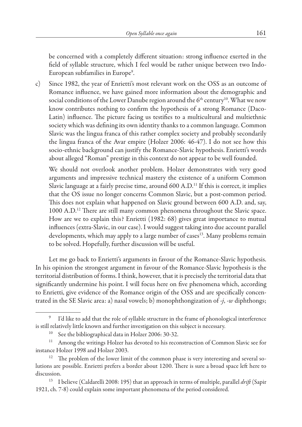be concerned with a completely different situation: strong influence exerted in the field of syllable structure, which I feel would be rather unique between two Indo-European subfamilies in Europe<sup>9</sup>.

c) Since 1982, the year of Enrietti's most relevant work on the OSS as an outcome of Romance influence, we have gained more information about the demographic and social conditions of the Lower Danube region around the  $6<sup>th</sup>$  century<sup>10</sup>. What we now know contributes nothing to confirm the hypothesis of a strong Romance (Daco-Latin) influence. The picture facing us testifies to a multicultural and multiethnic society which was defining its own identity thanks to a common language. Common Slavic was the lingua franca of this rather complex society and probably secondarily the lingua franca of the Avar empire (Holzer 2006: 46-47). I do not see how this socio-ethnic background can justify the Romance-Slavic hypothesis. Enrietti's words about alleged "Roman" prestige in this context do not appear to be well founded.

We should not overlook another problem. Holzer demonstrates with very good arguments and impressive technical mastery the existence of a uniform Common Slavic language at a fairly precise time, around  $600$  A.D.<sup>11</sup> If this is correct, it implies that the OS issue no longer concerns Common Slavic, but a post-common period. This does not explain what happened on Slavic ground between 600 A.D. and, say, 1000 A.D.<sup>12</sup> There are still many common phenomena throughout the Slavic space. How are we to explain this? Enrietti (1982: 68) gives great importance to mutual influences (extra-Slavic, in our case). I would suggest taking into due account parallel developments, which may apply to a large number of cases<sup>13</sup>. Many problems remain to be solved. Hopefully, further discussion will be useful.

Let me go back to Enrietti's arguments in favour of the Romance-Slavic hypothesis. In his opinion the strongest argument in favour of the Romance-Slavic hypothesis is the territorial distribution of forms. I think, however, that it is precisely the territorial data that significantly undermine his point. I will focus here on five phenomena which, according to Enrietti, give evidence of the Romance origin of the OSS and are specifically concentrated in the SE Slavic area: a) nasal vowels; b) monophthongization of *-j*, *-w* diphthongs;

I'd like to add that the role of syllable structure in the frame of phonological interference is still relatively little known and further investigation on this subject is necessary.

<sup>&</sup>lt;sup>10</sup> See the bibliographical data in Holzer 2006: 30-32.

<sup>&</sup>lt;sup>11</sup> Among the writings Holzer has devoted to his reconstruction of Common Slavic see for instance Holzer 1998 and Holzer 2003.

<sup>&</sup>lt;sup>12</sup> The problem of the lower limit of the common phase is very interesting and several solutions are possible. Enrietti prefers a border about 1200. There is sure a broad space left here to discussion.

<sup>13</sup> I believe (Caldarelli 2008: 195) that an approach in terms of multiple, parallel *drift* (Sapir 1921, ch. 7-8) could explain some important phenomena of the period considered.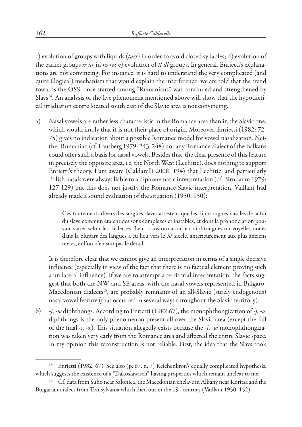c) evolution of groups with liquids (*tart*) in order to avoid closed syllables; d) evolution of the earlier groups *ir ur* in *rь rъ*; e) evolution of *tl dl* groups. In general, Enrietti's explanations are not convincing. For instance, it is hard to understand the very complicated (and quite illogical) mechanism that would explain the interference: we are told that the trend towards the OSS, once started among "Rumanians", was continued and strengthened by Slavs<sup>14</sup>. An analysis of the five phenomena mentioned above will show that the hypothetical irradiation centre located south east of the Slavic area is not convincing.

a) Nasal vowels are rather less characteristic in the Romance area than in the Slavic one, which would imply that it is not their place of origin. Moreover, Enrietti (1982: 72- 75) gives no indication about a possible Romance model for vowel nasalization. Neither Rumanian (cf. Lausberg 1979: 243, 248) nor any Romance dialect of the Balkans could offer such a basis for nasal vowels. Besides that, the clear presence of this feature in precisely the opposite area, i.e. the North West (Lechitic), does nothing to support Enrietti's theory. I am aware (Caldarelli 2008: 194) that Lechitic, and particularly Polish nasals were always liable to a diphonematic interpretation (cf. Birnbaum 1979: 127-129) but this does not justify the Romance-Slavic interpretation. Vaillant had already made a sound evaluation of the situation (1950: 150):

> Ces traitements divers des langues slaves attestent que les diphtongues nasales de la fin du slave commun étaient des sons complexes et instables, et dont la prononciation pouvait varier selon les dialectes. Leur transformation en diphtongues ou voyelles orales dans la plupart des langues a eu lieu vers le  $X<sup>c</sup>$  siècle, antérieurement aux plus anciens textes, et l'on n'en suit pas le détail.

It is therefore clear that we cannot give an interpretation in terms of a single decisive influence (especially in view of the fact that there is no factual element proving such a unilateral influence). If we are to attempt a territorial interpretation, the facts suggest that both the NW and SE areas, with the nasal vowels represented in Bulgaro-Macedonian dialects<sup>15</sup>, are probably remnants of an all-Slavic (surely endogenous) nasal vowel feature (that occurred in several ways throughout the Slavic territory).

b) *-j*, *-w* diphthongs. According to Enrietti (1982:67), the monophthongization of *-j*, *-w* diphthongs is the only phenomenon present all over the Slavic area (except the fall of the final *-s*, *-x*). This situation allegedly exists because the *-j*, *-w* monophthongization was taken very early from the Romance area and affected the entire Slavic space. In my opinion this reconstruction is not reliable. First, the idea that the Slavs took

Enrietti (1982: 67). See also (p. 67, n. 7) Reichenkron's equally complicated hypothesis, which suggests the existence of a "Dakoslawisch" having properties which remain unclear to me.

<sup>&</sup>lt;sup>15</sup> Cf. data from Suho near Salonica, the Macedonian enclave in Albany near Koritsa and the Bulgarian dialect from Transylvania which died out in the 19<sup>th</sup> century (Vaillant 1950: 152).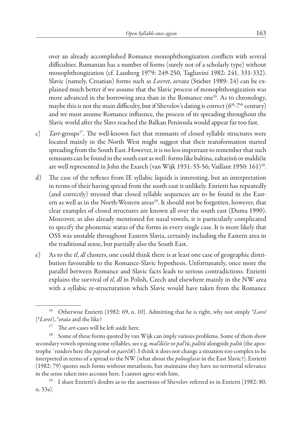over an already accomplished Romance monophthongization conflicts with several difficulties. Rumanian has a number of forms (surely not of a scholarly type) without monophthongization (cf. Lausberg 1979: 249-250, Tagliavini 1982: 241, 331-332). Slavic (namely, Croatian) forms such as *Lovret*, *ovrata* (Stieber 1989: 24) can be explained much better if we assume that the Slavic process of monophthongization was more advanced in the borrowing area than in the Romance one<sup>16</sup>. As to chronology, maybe this is not the main difficulty, but if Shevelov's dating is correct ( $6<sup>th</sup> - 7<sup>th</sup>$  century) and we must assume Romance influence, the process of its spreading throughout the Slavic world after the Slavs reached the Balkan Peninsula would appear far too fast.

- c) *Tart*-groups<sup>17</sup>. The well-known fact that remnants of closed syllable structures were located mainly in the North West might suggest that their transformation started spreading from the South East. However, it is no less important to remember that such remnants can be found in the south east as well: forms like baltina, zaltarinŭ or maldičie are well represented in John the Exarch (van Wijk 1931: 55-56; Vaillant 1950: 161)18.
- d) The case of the reflexes from IE syllabic liquids is interesting, but an interpretation in terms of their having spread from the south east is unlikely. Enrietti has repeatedly (and correctly) stressed that closed syllable sequences are to be found in the Eastern as well as in the North-Western areas<sup>19</sup>. It should not be forgotten, however, that clear examples of closed structures are known all over the south east (Duma 1990). Moreover, as also already mentioned for nasal vowels, it is particularly complicated to specify the phonemic status of the forms in every single case. It is more likely that OSS was unstable throughout Eastern Slavia, certainly including the Eastern area in the traditional sense, but partially also the South East.
- e) As to the *tl*, *dl* clusters, one could think there is at least one case of geographic distribution favourable to the Romance-Slavic hypothesis. Unfortunately, once more the parallel between Romance and Slavic facts leads to serious contradictions. Enrietti explains the survival of *tl*, *dl* in Polish, Czech and elsewhere mainly in the NW area with a syllabic re-structuration which Slavic would have taken from the Romance

<sup>16</sup> Otherwise Enrietti (1982: 69, n. 10). Admitting that he is right, why not simply \**Loreč*  (\**Loret*), \**orata* and the like?

<sup>&</sup>lt;sup>17</sup> The *art*-cases will be left aside here.

<sup>&</sup>lt;sup>18</sup> Some of these forms quoted by van Wijk can imply various problems. Some of them show secondary vowels opening some syllables, see e.g. *mal'dičie* or *pal'tŭ*, *palĭtŭ* alongside *paltŭ* (the apostrophe *'* renders here the *pajerak* or *paerčik*). I think it does not change a situation too complex to be interpreted in terms of a spread to the NW (what about the *polnoglasie* in the East Slavic?). Enrietti (1982: 79) quotes such forms without metathesis, but maintains they have no territorial relevance in the sense taken into account here. I cannot agree with him.

<sup>&</sup>lt;sup>19</sup> I share Enrietti's doubts as to the assertions of Shevelov referred to in Enrietti (1982: 80, n. 33a).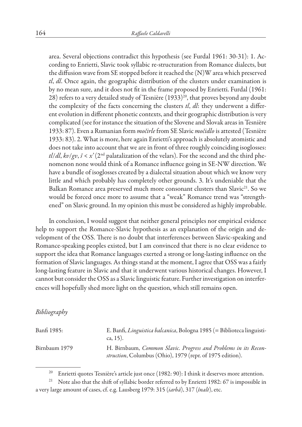area. Several objections contradict this hypothesis (see Furdal 1961: 30-31): 1. According to Enrietti, Slavic took syllabic re-structuration from Romance dialects, but the diffusion wave from SE stopped before it reached the (N)W area which preserved *tl*, *dl*. Once again, the geographic distribution of the clusters under examination is by no mean sure, and it does not fit in the frame proposed by Enrietti. Furdal (1961: 28) refers to a very detailed study of Tesnière  $(1933)^{20}$ , that proves beyond any doubt the complexity of the facts concerning the clusters *tl*, *dl*: they underwent a different evolution in different phonetic contexts, and their geographic distribution is very complicated (see for instance the situation of the Slovene and Slovak areas in Tesnière 1933: 87). Even a Rumanian form *močirle* from SE Slavic *močidlo* is attested (Tesnière 1933: 83). 2. What is more, here again Enrietti's approach is absolutely atomistic and does not take into account that we are in front of three roughly coinciding isoglosses:  $t\ell/dl$ ,  $kv/gv$ ,  $\zeta < x'$  (2<sup>nd</sup> palatalization of the velars). For the second and the third phenomenon none would think of a Romance influence going in SE-NW direction. We have a bundle of isoglosses created by a dialectal situation about which we know very little and which probably has completely other grounds. 3. It's undeniable that the Balkan Romance area preserved much more consonant clusters than Slavic<sup>21</sup>. So we would be forced once more to assume that a "weak" Romance trend was "strengthened" on Slavic ground. In my opinion this must be considered as highly improbable.

In conclusion, I would suggest that neither general principles nor empirical evidence help to support the Romance-Slavic hypothesis as an explanation of the origin and development of the OSS. There is no doubt that interferences between Slavic-speaking and Romance-speaking peoples existed, but I am convinced that there is no clear evidence to support the idea that Romance languages exerted a strong or long-lasting influence on the formation of Slavic languages. As things stand at the moment, I agree that OSS was a fairly long-lasting feature in Slavic and that it underwent various historical changes. However, I cannot but consider the OSS as a Slavic linguistic feature. Further investigation on interferences will hopefully shed more light on the question, which still remains open.

## *Bibliography*

| Banfi 1985:   | E. Banfi, Linguistica balcanica, Bologna 1985 (= Biblioteca linguisti-<br>ca, 15).                                           |
|---------------|------------------------------------------------------------------------------------------------------------------------------|
| Birnbaum 1979 | H. Birnbaum, Common Slavic. Progress and Problems in its Recon-<br>struction, Columbus (Ohio), 1979 (repr. of 1975 edition). |

Enrietti quotes Tesnière's article just once (1982: 90): I think it deserves more attention.

<sup>&</sup>lt;sup>21</sup> Note also that the shift of syllabic border referred to by Enrietti 1982: 67 is impossible in a very large amount of cases, cf. e.g. Lausberg 1979: 315 (*iarbă*), 317 (*înalt*), etc.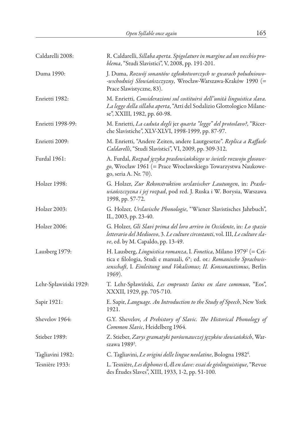| Caldarelli 2008:      | R. Caldarelli, Sillaba aperta. Spigolature in margine ad un vecchio pro-<br>blema, "Studi Slavistici", V, 2008, pp. 191-201.                                                                                                              |
|-----------------------|-------------------------------------------------------------------------------------------------------------------------------------------------------------------------------------------------------------------------------------------|
| Duma 1990:            | J. Duma, Rozwój sonantów zgłoskotworczych w gwarach południowo-<br>-wschodniej Słowiańszczyzny, Wrocław-Warszawa-Kraków 1990 (=<br>Prace Slawistyczne, 83).                                                                               |
| Enrietti 1982:        | M. Enrietti, Considerazioni sul costituirsi dell'unità linguistica slava.<br>La legge della sillaba aperta, "Atti del Sodalizio Glottologico Milane-<br>se", XXIII, 1982, pp. 60-98.                                                      |
| Enrietti 1998-99:     | M. Enrietti, La caduta degli jer quarta "legge" del protoslavo?, "Ricer-<br>che Slavistiche", XLV-XLVI, 1998-1999, pp. 87-97.                                                                                                             |
| Enrietti 2009:        | M. Enrietti, "Andere Zeiten, andere Lautgesetze". Replica a Raffaele<br>Caldarelli, "Studi Slavistici", VI, 2009, pp. 309-312.                                                                                                            |
| Furdal 1961:          | A. Furdal, Rozpad języka prasłowiańskiego w świetle rozwoju głosowe-<br>go, Wrocław 1961 (= Prace Wrocławskiego Towarzystwa Naukowe-<br>go, seria A. Nr. 70).                                                                             |
| Holzer 1998:          | G. Holzer, Zur Rekonstruktion urslavischer Lautungen, in: Prasło-<br>wiańszczyzna i jej rozpad, pod red. J. Ruska i W. Borysia, Warszawa<br>1998, pp. 57-72.                                                                              |
| Holzer 2003:          | G. Holzer, Urslavische Phonologie, "Wiener Slavistisches Jahrbuch",<br>IL, 2003, pp. 23-40.                                                                                                                                               |
| Holzer 2006:          | G. Holzer, Gli Slavi prima del loro arrivo in Occidente, in: Lo spazio<br>letterario del Medioevo, 3. Le culture circostanti, vol. III, Le culture sla-<br>ve, ed. by M. Capaldo, pp. 13-49.                                              |
| Lausberg 1979:        | H. Lausberg, Linguistica romanza, I. Fonetica, Milano 1979 <sup>2</sup> (= Cri-<br>tica e filologia, Studi e manuali, 6*; ed. or.: Romanische Sprachwis-<br>senschaft, I. Einleitung und Vokalismus; II. Konsonantismus, Berlin<br>1969). |
| Lehr-Spławiński 1929: | T. Lehr-Spławiński, Les emprunts latins en slave commun, "Eos",<br>XXXII, 1929, pp. 705-710.                                                                                                                                              |
| Sapir 1921:           | E. Sapir, Language. An Introduction to the Study of Speech, New York<br>1921.                                                                                                                                                             |
| Shevelov 1964:        | G.Y. Shevelov, A Prehistory of Slavic. The Historical Phonology of<br>Common Slavic, Heidelberg 1964.                                                                                                                                     |
| Stieber 1989:         | Z. Stieber, Zarys gramatyki porównawczej języków słowiańskich, War-<br>szawa 1989 <sup>3</sup> .                                                                                                                                          |
| Tagliavini 1982:      | C. Tagliavini, Le origini delle lingue neolatine, Bologna 1982 <sup>6</sup> .                                                                                                                                                             |
| Tesnière 1933:        | L. Tesnière, Les diphones tl, dl en slave: essai de géolinguistique, "Revue<br>des Études Slaves", XIII, 1933, 1-2, pp. 51-100.                                                                                                           |